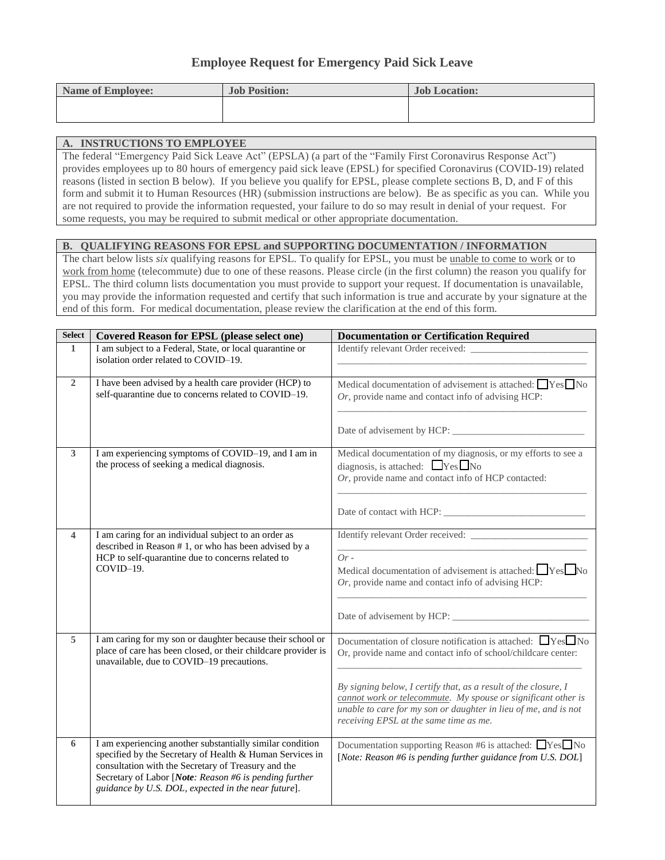# **Employee Request for Emergency Paid Sick Leave**

| <b>Name of Employee:</b> | <b>Job Position:</b> | <b>Job Location:</b> |
|--------------------------|----------------------|----------------------|
|                          |                      |                      |
|                          |                      |                      |

#### **A. INSTRUCTIONS TO EMPLOYEE**

The federal "Emergency Paid Sick Leave Act" (EPSLA) (a part of the "Family First Coronavirus Response Act") provides employees up to 80 hours of emergency paid sick leave (EPSL) for specified Coronavirus (COVID-19) related reasons (listed in section B below). If you believe you qualify for EPSL, please complete sections B, D, and F of this form and submit it to Human Resources (HR) (submission instructions are below). Be as specific as you can. While you are not required to provide the information requested, your failure to do so may result in denial of your request. For some requests, you may be required to submit medical or other appropriate documentation.

#### **B. QUALIFYING REASONS FOR EPSL and SUPPORTING DOCUMENTATION / INFORMATION**

The chart below lists *six* qualifying reasons for EPSL. To qualify for EPSL, you must be unable to come to work or to work from home (telecommute) due to one of these reasons. Please circle (in the first column) the reason you qualify for EPSL. The third column lists documentation you must provide to support your request. If documentation is unavailable, you may provide the information requested and certify that such information is true and accurate by your signature at the end of this form. For medical documentation, please review the clarification at the end of this form.

| <b>Select</b>  | <b>Covered Reason for EPSL (please select one)</b>                                                                                                                                                                                                                                            | <b>Documentation or Certification Required</b>                                                                                                                                                                                                                                                                                                                                            |
|----------------|-----------------------------------------------------------------------------------------------------------------------------------------------------------------------------------------------------------------------------------------------------------------------------------------------|-------------------------------------------------------------------------------------------------------------------------------------------------------------------------------------------------------------------------------------------------------------------------------------------------------------------------------------------------------------------------------------------|
| $\mathbf{1}$   | I am subject to a Federal, State, or local quarantine or<br>isolation order related to COVID-19.                                                                                                                                                                                              | Identify relevant Order received:                                                                                                                                                                                                                                                                                                                                                         |
| $\overline{2}$ | I have been advised by a health care provider (HCP) to<br>self-quarantine due to concerns related to COVID-19.                                                                                                                                                                                | Medical documentation of advisement is attached: $\Box$ Yes $\Box$ No<br>Or, provide name and contact info of advising HCP:                                                                                                                                                                                                                                                               |
| $\mathbf{3}$   | I am experiencing symptoms of COVID-19, and I am in<br>the process of seeking a medical diagnosis.                                                                                                                                                                                            | Medical documentation of my diagnosis, or my efforts to see a<br>diagnosis, is attached: $Yes$ No<br>$Or$ , provide name and contact info of HCP contacted:                                                                                                                                                                                                                               |
| 4              | I am caring for an individual subject to an order as<br>described in Reason #1, or who has been advised by a<br>HCP to self-quarantine due to concerns related to<br>COVID-19.                                                                                                                | Identify relevant Order received:<br>$Or-$<br>Medical documentation of advisement is attached: $\Box$ Yes $\Box$ No<br>Or, provide name and contact info of advising HCP:                                                                                                                                                                                                                 |
| 5              | I am caring for my son or daughter because their school or<br>place of care has been closed, or their childcare provider is<br>unavailable, due to COVID-19 precautions.                                                                                                                      | Documentation of closure notification is attached: $\Box$ Yes $\Box$ No<br>Or, provide name and contact info of school/childcare center:<br>By signing below, I certify that, as a result of the closure, I<br>cannot work or telecommute. My spouse or significant other is<br>unable to care for my son or daughter in lieu of me, and is not<br>receiving EPSL at the same time as me. |
| 6              | I am experiencing another substantially similar condition<br>specified by the Secretary of Health & Human Services in<br>consultation with the Secretary of Treasury and the<br>Secretary of Labor [Note: Reason #6 is pending further<br>guidance by U.S. DOL, expected in the near future]. | Documentation supporting Reason #6 is attached: ■Yes■No<br>[Note: Reason #6 is pending further guidance from U.S. DOL]                                                                                                                                                                                                                                                                    |